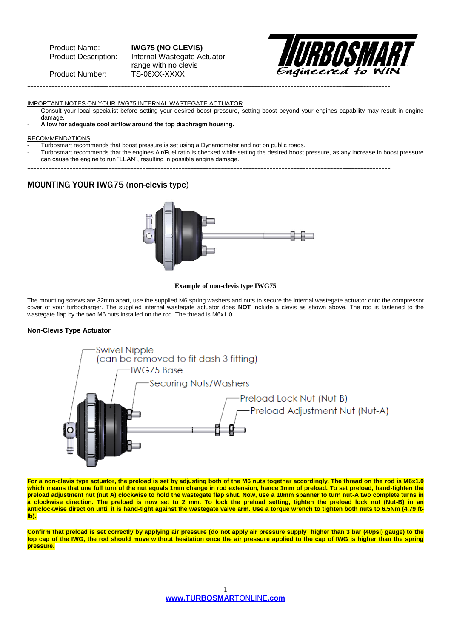Product Name: **IWG75 (NO CLEVIS)** Internal Wastegate Actuator range with no clevis Product Number: TS-06XX-XXXX



IMPORTANT NOTES ON YOUR IWG75 INTERNAL WASTEGATE ACTUATOR

- Consult your local specialist before setting your desired boost pressure, setting boost beyond your engines capability may result in engine damage.
- **Allow for adequate cool airflow around the top diaphragm housing.**

#### RECOMMENDATIONS

- Turbosmart recommends that boost pressure is set using a Dynamometer and not on public roads.
- Turbosmart recommends that the engines Air/Fuel ratio is checked while setting the desired boost pressure, as any increase in boost pressure can cause the engine to run "LEAN", resulting in possible engine damage.
- ------------------------------------------------------------------------------------------------------------------------

------------------------------------------------------------------------------------------------------------------------

### MOUNTING YOUR IWG75 (non-clevis type)



#### **Example of non-clevis type IWG75**

The mounting screws are 32mm apart, use the supplied M6 spring washers and nuts to secure the internal wastegate actuator onto the compressor cover of your turbocharger. The supplied internal wastegate actuator does **NOT** include a clevis as shown above. The rod is fastened to the wastegate flap by the two M6 nuts installed on the rod. The thread is M6x1.0.

#### **Non-Clevis Type Actuator**



**For a non-clevis type actuator, the preload is set by adjusting both of the M6 nuts together accordingly. The thread on the rod is M6x1.0 which means that one full turn of the nut equals 1mm change in rod extension, hence 1mm of preload. To set preload, hand-tighten the preload adjustment nut (nut A) clockwise to hold the wastegate flap shut. Now, use a 10mm spanner to turn nut-A two complete turns in a clockwise direction. The preload is now set to 2 mm. To lock the preload setting, tighten the preload lock nut (Nut-B) in an**  anticlockwise direction until it is hand-tight against the wastegate valve arm. Use a torque wrench to tighten both nuts to 6.5Nm (4.79 ft**lb).**

**Confirm that preload is set correctly by applying air pressure (do not apply air pressure supply higher than 3 bar (40psi) gauge) to the top cap of the IWG, the rod should move without hesitation once the air pressure applied to the cap of IWG is higher than the spring pressure.**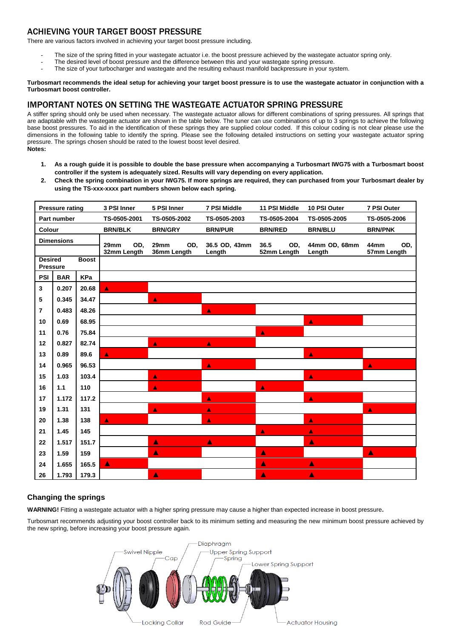# ACHIEVING YOUR TARGET BOOST PRESSURE

There are various factors involved in achieving your target boost pressure including.

- The size of the spring fitted in your wastegate actuator i.e. the boost pressure achieved by the wastegate actuator spring only.
- The desired level of boost pressure and the difference between this and your wastegate spring pressure.
- The size of your turbocharger and wastegate and the resulting exhaust manifold backpressure in your system.

#### **Turbosmart recommends the ideal setup for achieving your target boost pressure is to use the wastegate actuator in conjunction with a Turbosmart boost controller.**

# IMPORTANT NOTES ON SETTING THE WASTEGATE ACTUATOR SPRING PRESSURE

A stiffer spring should only be used when necessary. The wastegate actuator allows for different combinations of spring pressures. All springs that are adaptable with the wastegate actuator are shown in the table below. The tuner can use combinations of up to 3 springs to achieve the following base boost pressures. To aid in the identification of these springs they are supplied colour coded. If this colour coding is not clear please use the dimensions in the following table to identify the spring. Please see the following detailed instructions on setting your wastegate actuator spring pressure. The springs chosen should be rated to the lowest boost level desired. **Notes:**

- **1. As a rough guide it is possible to double the base pressure when accompanying a Turbosmart IWG75 with a Turbosmart boost controller if the system is adequately sized. Results will vary depending on every application.**
- **2. Check the spring combination in your IWG75. If more springs are required, they can purchased from your Turbosmart dealer by using the TS-xxx-xxxx part numbers shown below each spring.**

| <b>Pressure rating</b>                            |            |       | 3 PSI Inner                | 5 PSI Inner                | <b>7 PSI Middle</b>     | 11 PSI Middle              | 10 PSI Outer            | 7 PSI Outer                |
|---------------------------------------------------|------------|-------|----------------------------|----------------------------|-------------------------|----------------------------|-------------------------|----------------------------|
| Part number                                       |            |       | TS-0505-2001               | TS-0505-2002               | TS-0505-2003            | TS-0505-2004               | TS-0505-2005            | TS-0505-2006               |
| Colour                                            |            |       | <b>BRN/BLK</b>             | <b>BRN/GRY</b>             | <b>BRN/PUR</b>          | <b>BRN/RED</b>             | <b>BRN/BLU</b>          | <b>BRN/PNK</b>             |
| <b>Dimensions</b>                                 |            |       | 29mm<br>OD,<br>32mm Length | 29mm<br>OD.<br>36mm Length | 36.5 OD, 43mm<br>Length | 36.5<br>OD.<br>52mm Length | 44mm OD, 68mm<br>Length | 44mm<br>OD,<br>57mm Length |
| <b>Desired</b><br><b>Boost</b><br><b>Pressure</b> |            |       |                            |                            |                         |                            |                         |                            |
| <b>PSI</b>                                        | <b>BAR</b> | KPa   |                            |                            |                         |                            |                         |                            |
| 3                                                 | 0.207      | 20.68 | $\blacktriangle$           |                            |                         |                            |                         |                            |
| 5                                                 | 0.345      | 34.47 |                            | A                          |                         |                            |                         |                            |
| $\overline{7}$                                    | 0.483      | 48.26 |                            |                            | Ă                       |                            |                         |                            |
| 10                                                | 0.69       | 68.95 |                            |                            |                         |                            | A                       |                            |
| 11                                                | 0.76       | 75.84 |                            |                            |                         | A                          |                         |                            |
| 12                                                | 0.827      | 82.74 |                            | A                          | A                       |                            |                         |                            |
| 13                                                | 0.89       | 89.6  | $\blacktriangle$           |                            |                         |                            | $\blacktriangle$        |                            |
| 14                                                | 0.965      | 96.53 |                            |                            | A                       |                            |                         | A                          |
| 15                                                | 1.03       | 103.4 |                            | A                          |                         |                            | A                       |                            |
| 16                                                | 1.1        | 110   |                            | A                          |                         | A                          |                         |                            |
| 17                                                | 1.172      | 117.2 |                            |                            | Δ                       |                            | A                       |                            |
| 19                                                | 1.31       | 131   |                            | A                          | Δ                       |                            |                         | A                          |
| 20                                                | 1.38       | 138   | Ă                          |                            | Δ                       |                            | A                       |                            |
| 21                                                | 1.45       | 145   |                            |                            |                         | À                          | A                       |                            |
| 22                                                | 1.517      | 151.7 |                            | $\blacktriangle$           | A                       |                            | $\blacktriangle$        |                            |
| 23                                                | 1.59       | 159   |                            | A                          |                         | ▲                          |                         | A                          |
| 24                                                | 1.655      | 165.5 | $\blacktriangle$ .         |                            |                         | A                          | ▲                       |                            |
| 26                                                | 1.793      | 179.3 |                            | $\blacktriangle$           |                         | A                          | Δ                       |                            |

# **Changing the springs**

**WARNING!** Fitting a wastegate actuator with a higher spring pressure may cause a higher than expected increase in boost pressure**.**

Turbosmart recommends adjusting your boost controller back to its minimum setting and measuring the new minimum boost pressure achieved by the new spring, before increasing your boost pressure again.

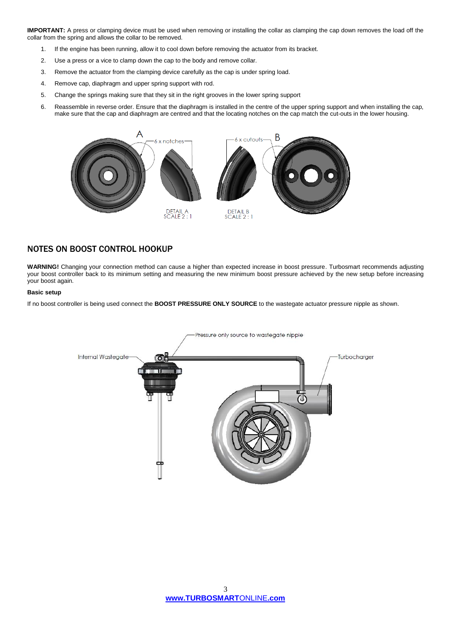**IMPORTANT:** A press or clamping device must be used when removing or installing the collar as clamping the cap down removes the load off the collar from the spring and allows the collar to be removed.

- 1. If the engine has been running, allow it to cool down before removing the actuator from its bracket.
- 2. Use a press or a vice to clamp down the cap to the body and remove collar.
- 3. Remove the actuator from the clamping device carefully as the cap is under spring load.
- 4. Remove cap, diaphragm and upper spring support with rod.
- 5. Change the springs making sure that they sit in the right grooves in the lower spring support
- 6. Reassemble in reverse order. Ensure that the diaphragm is installed in the centre of the upper spring support and when installing the cap, make sure that the cap and diaphragm are centred and that the locating notches on the cap match the cut-outs in the lower housing.



# NOTES ON BOOST CONTROL HOOKUP

**WARNING!** Changing your connection method can cause a higher than expected increase in boost pressure. Turbosmart recommends adjusting your boost controller back to its minimum setting and measuring the new minimum boost pressure achieved by the new setup before increasing your boost again.

#### **Basic setup**

If no boost controller is being used connect the **BOOST PRESSURE ONLY SOURCE** to the wastegate actuator pressure nipple as shown.

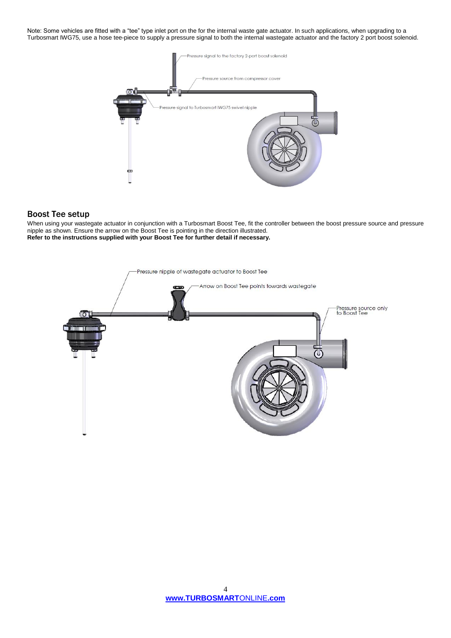Note: Some vehicles are fitted with a "tee" type inlet port on the for the internal waste gate actuator. In such applications, when upgrading to a Turbosmart IWG75, use a hose tee-piece to supply a pressure signal to both the internal wastegate actuator and the factory 2 port boost solenoid.



### Boost Tee setup

When using your wastegate actuator in conjunction with a Turbosmart Boost Tee, fit the controller between the boost pressure source and pressure nipple as shown. Ensure the arrow on the Boost Tee is pointing in the direction illustrated. **Refer to the instructions supplied with your Boost Tee for further detail if necessary.** 

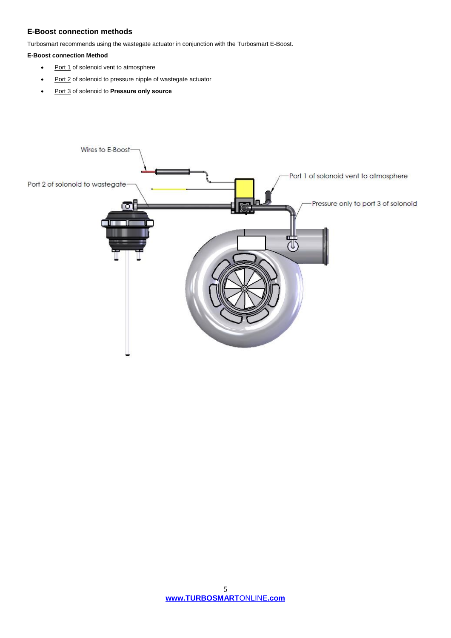## **E-Boost connection methods**

Turbosmart recommends using the wastegate actuator in conjunction with the Turbosmart E-Boost.

### **E-Boost connection Method**

- Port 1 of solenoid vent to atmosphere
- Port 2 of solenoid to pressure nipple of wastegate actuator
- Port 3 of solenoid to **Pressure only source**